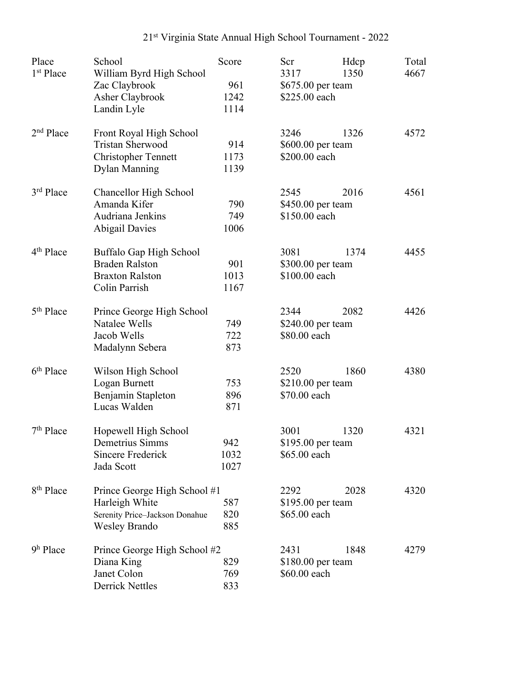## 21st Virginia State Annual High School Tournament - 2022

| Place<br>1 <sup>st</sup> Place | School                           | Score | Scr               | Hdcp                              | Total<br>4667 |
|--------------------------------|----------------------------------|-------|-------------------|-----------------------------------|---------------|
|                                | William Byrd High School         | 961   |                   | 1350<br>3317<br>\$675.00 per team |               |
|                                | Zac Claybrook<br>Asher Claybrook | 1242  | \$225.00 each     |                                   |               |
|                                |                                  | 1114  |                   |                                   |               |
|                                | Landin Lyle                      |       |                   |                                   |               |
| 2 <sup>nd</sup> Place          | Front Royal High School          |       | 3246              | 1326                              | 4572          |
|                                | <b>Tristan Sherwood</b>          | 914   | \$600.00 per team |                                   |               |
|                                | <b>Christopher Tennett</b>       | 1173  | \$200.00 each     |                                   |               |
|                                | <b>Dylan Manning</b>             | 1139  |                   |                                   |               |
| 3 <sup>rd</sup> Place          | Chancellor High School           |       | 2545              | 2016                              | 4561          |
|                                | Amanda Kifer                     | 790   | \$450.00 per team |                                   |               |
|                                | Audriana Jenkins                 | 749   | \$150.00 each     |                                   |               |
|                                | <b>Abigail Davies</b>            | 1006  |                   |                                   |               |
| 4 <sup>th</sup> Place          | Buffalo Gap High School          |       | 3081              | 1374                              | 4455          |
|                                | <b>Braden Ralston</b>            | 901   | \$300.00 per team |                                   |               |
|                                | <b>Braxton Ralston</b>           | 1013  | \$100.00 each     |                                   |               |
|                                | Colin Parrish                    | 1167  |                   |                                   |               |
| 5 <sup>th</sup> Place          | Prince George High School        |       | 2344              | 2082                              | 4426          |
|                                | Natalee Wells                    | 749   | \$240.00 per team |                                   |               |
|                                | Jacob Wells                      | 722   | \$80.00 each      |                                   |               |
|                                | Madalynn Sebera                  | 873   |                   |                                   |               |
| 6 <sup>th</sup> Place          | Wilson High School               |       | 2520              | 1860                              | 4380          |
|                                | Logan Burnett                    | 753   | \$210.00 per team |                                   |               |
|                                | Benjamin Stapleton               | 896   | \$70.00 each      |                                   |               |
|                                | Lucas Walden                     | 871   |                   |                                   |               |
| $7th$ Place                    | Hopewell High School             |       | 3001              | 1320                              | 4321          |
|                                | Demetrius Simms                  | 942   | \$195.00 per team |                                   |               |
|                                | Sincere Frederick                | 1032  | \$65.00 each      |                                   |               |
|                                | Jada Scott                       | 1027  |                   |                                   |               |
|                                |                                  |       |                   |                                   |               |
| 8 <sup>th</sup> Place          | Prince George High School #1     |       | 2292              | 2028                              | 4320          |
|                                | Harleigh White                   | 587   | \$195.00 per team |                                   |               |
|                                | Serenity Price-Jackson Donahue   | 820   | \$65.00 each      |                                   |               |
|                                | <b>Wesley Brando</b>             | 885   |                   |                                   |               |
| $9h$ Place                     | Prince George High School #2     |       | 2431              | 1848                              | 4279          |
|                                | Diana King                       | 829   |                   | $$180.00$ per team                |               |
|                                | Janet Colon                      | 769   | \$60.00 each      |                                   |               |
|                                | <b>Derrick Nettles</b>           | 833   |                   |                                   |               |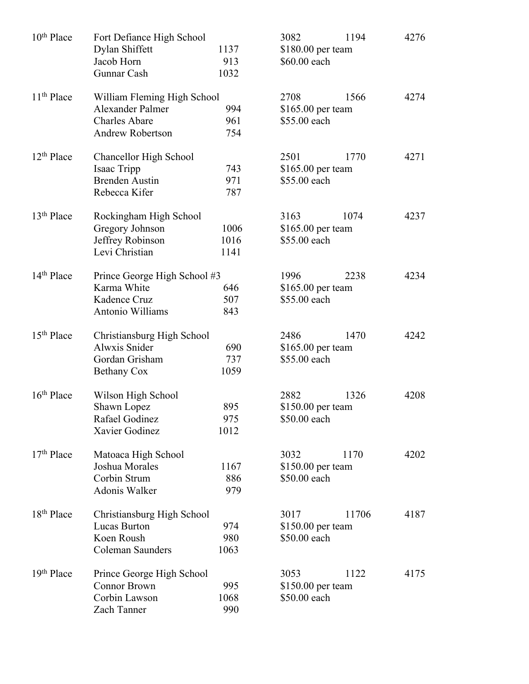| 10 <sup>th</sup> Place | Fort Defiance High School<br>Dylan Shiffett<br>1137 |      | 3082                               | 1194<br>\$180.00 per team |      |  |
|------------------------|-----------------------------------------------------|------|------------------------------------|---------------------------|------|--|
|                        | Jacob Horn                                          | 913  | \$60.00 each                       |                           |      |  |
|                        | Gunnar Cash                                         | 1032 |                                    |                           |      |  |
|                        |                                                     |      |                                    |                           |      |  |
| 11 <sup>th</sup> Place | William Fleming High School                         |      | 2708                               | 1566                      | 4274 |  |
|                        | <b>Alexander Palmer</b>                             | 994  | \$165.00 per team                  |                           |      |  |
|                        | <b>Charles Abare</b>                                | 961  | \$55.00 each                       |                           |      |  |
|                        | <b>Andrew Robertson</b>                             | 754  |                                    |                           |      |  |
|                        |                                                     |      |                                    | 1770                      |      |  |
| $12th$ Place           | Chancellor High School                              |      | 2501                               | 4271                      |      |  |
|                        | Isaac Tripp                                         | 743  | $$165.00$ per team                 |                           |      |  |
|                        | <b>Brenden Austin</b>                               | 971  | \$55.00 each                       |                           |      |  |
|                        | Rebecca Kifer                                       | 787  |                                    |                           |      |  |
| $13th$ Place           | Rockingham High School                              |      | 3163                               | 1074                      | 4237 |  |
|                        | Gregory Johnson                                     | 1006 | \$165.00 per team                  |                           |      |  |
|                        | Jeffrey Robinson                                    | 1016 | \$55.00 each                       |                           |      |  |
|                        | Levi Christian                                      | 1141 |                                    |                           |      |  |
|                        |                                                     |      |                                    |                           |      |  |
| 14 <sup>th</sup> Place | Prince George High School #3                        |      | 1996                               | 2238                      | 4234 |  |
|                        | Karma White                                         | 646  | \$165.00 per team                  |                           |      |  |
|                        | Kadence Cruz                                        | 507  | \$55.00 each                       |                           |      |  |
|                        | Antonio Williams                                    | 843  |                                    |                           |      |  |
|                        |                                                     |      |                                    |                           |      |  |
| 15 <sup>th</sup> Place | Christiansburg High School                          |      | 2486                               | 1470                      | 4242 |  |
|                        | Alwxis Snider                                       | 690  | $$165.00$ per team                 |                           |      |  |
|                        | Gordan Grisham                                      | 737  | \$55.00 each                       |                           |      |  |
|                        | <b>Bethany Cox</b>                                  | 1059 |                                    |                           |      |  |
| $16th$ Place           |                                                     |      | 2882                               |                           | 4208 |  |
|                        | Wilson High School                                  | 895  |                                    | 1326                      |      |  |
|                        | Shawn Lopez                                         | 975  | $$150.00$ per team<br>\$50.00 each |                           |      |  |
|                        | Rafael Godinez<br>Xavier Godinez                    | 1012 |                                    |                           |      |  |
|                        |                                                     |      |                                    |                           |      |  |
| $17th$ Place           | Matoaca High School                                 |      | 3032                               | 1170                      | 4202 |  |
|                        | Joshua Morales                                      | 1167 | \$150.00 per team                  |                           |      |  |
|                        | Corbin Strum                                        | 886  |                                    | \$50.00 each              |      |  |
|                        | Adonis Walker                                       | 979  |                                    |                           |      |  |
|                        |                                                     |      |                                    |                           |      |  |
| 18 <sup>th</sup> Place | Christiansburg High School                          |      | 3017                               | 11706                     | 4187 |  |
|                        | <b>Lucas Burton</b>                                 | 974  | \$150.00 per team                  |                           |      |  |
|                        | Koen Roush                                          | 980  | \$50.00 each                       |                           |      |  |
|                        | Coleman Saunders                                    | 1063 |                                    |                           |      |  |
| 19 <sup>th</sup> Place | Prince George High School                           |      | 3053                               | 1122                      | 4175 |  |
|                        | <b>Connor Brown</b>                                 | 995  | \$150.00 per team                  |                           |      |  |
|                        | Corbin Lawson                                       | 1068 | \$50.00 each                       |                           |      |  |
|                        | Zach Tanner                                         | 990  |                                    |                           |      |  |
|                        |                                                     |      |                                    |                           |      |  |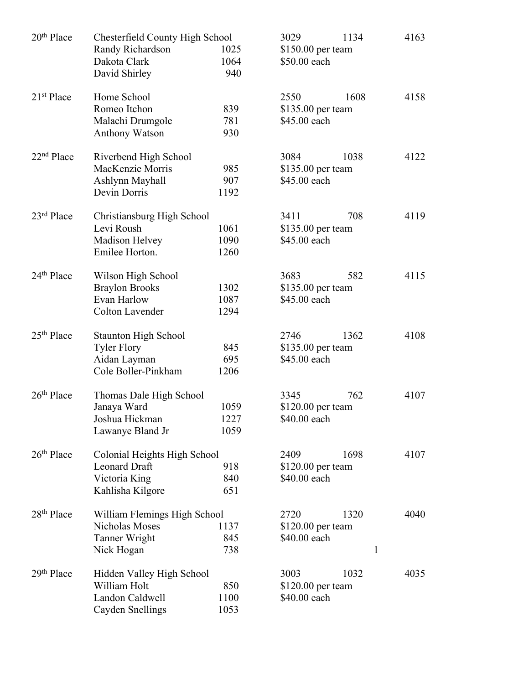| 20 <sup>th</sup> Place | Chesterfield County High School<br>Randy Richardson<br>Dakota Clark<br>David Shirley      | 1025<br>1064<br>940  | 3029<br>1134<br>\$150.00 per team<br>\$50.00 each |      | 4163                |
|------------------------|-------------------------------------------------------------------------------------------|----------------------|---------------------------------------------------|------|---------------------|
| 21 <sup>st</sup> Place | Home School<br>Romeo Itchon<br>Malachi Drumgole<br><b>Anthony Watson</b>                  | 839<br>781<br>930    | 2550<br>\$135.00 per team<br>\$45.00 each         | 1608 | 4158                |
| 22 <sup>nd</sup> Place | Riverbend High School<br>MacKenzie Morris<br>Ashlynn Mayhall<br>Devin Dorris              | 985<br>907<br>1192   | 3084<br>\$135.00 per team<br>\$45.00 each         | 1038 | 4122                |
| $23rd$ Place           | Christiansburg High School<br>Levi Roush<br>Madison Helvey<br>Emilee Horton.              | 1061<br>1090<br>1260 | 3411<br>$$135.00$ per team<br>\$45.00 each        | 708  | 4119                |
| 24 <sup>th</sup> Place | Wilson High School<br><b>Braylon Brooks</b><br>Evan Harlow<br><b>Colton Lavender</b>      | 1302<br>1087<br>1294 | 3683<br>\$135.00 per team<br>\$45.00 each         | 582  | 4115                |
| $25th$ Place           | <b>Staunton High School</b><br><b>Tyler Flory</b><br>Aidan Layman<br>Cole Boller-Pinkham  | 845<br>695<br>1206   | 2746<br>\$135.00 per team<br>\$45.00 each         | 1362 | 4108                |
| $26th$ Place           | Thomas Dale High School<br>Janaya Ward<br>Joshua Hickman<br>Lawanye Bland Jr              | 1059<br>1227<br>1059 | 3345<br>\$120.00 per team<br>\$40.00 each         | 762  | 4107                |
| $26th$ Place           | Colonial Heights High School<br><b>Leonard Draft</b><br>Victoria King<br>Kahlisha Kilgore | 918<br>840<br>651    | 2409<br>$$120.00$ per team<br>\$40.00 each        | 1698 | 4107                |
| $28th$ Place           | William Flemings High School<br><b>Nicholas Moses</b><br>Tanner Wright<br>Nick Hogan      | 1137<br>845<br>738   | 2720<br>$$120.00$ per team<br>\$40.00 each        | 1320 | 4040<br>$\mathbf 1$ |
| 29 <sup>th</sup> Place | Hidden Valley High School<br>William Holt<br>Landon Caldwell<br>Cayden Snellings          | 850<br>1100<br>1053  | 3003<br>$$120.00$ per team<br>\$40.00 each        | 1032 | 4035                |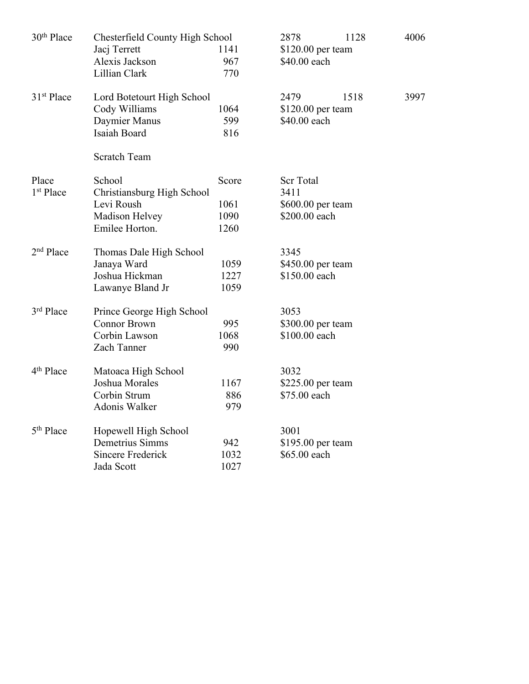| 30 <sup>th</sup> Place | Chesterfield County High School |       | 2878              | 1128               | 4006 |  |
|------------------------|---------------------------------|-------|-------------------|--------------------|------|--|
|                        | Jacj Terrett<br>1141            |       |                   | \$120.00 per team  |      |  |
|                        | Alexis Jackson                  | 967   | \$40.00 each      |                    |      |  |
|                        | Lillian Clark                   | 770   |                   |                    |      |  |
| 31 <sup>st</sup> Place | Lord Botetourt High School      |       | 2479              | 1518               | 3997 |  |
|                        | Cody Williams                   | 1064  |                   | $$120.00$ per team |      |  |
|                        | Daymier Manus                   | 599   | \$40.00 each      |                    |      |  |
|                        | Isaiah Board                    | 816   |                   |                    |      |  |
|                        | <b>Scratch Team</b>             |       |                   |                    |      |  |
| Place                  | School                          | Score | <b>Scr Total</b>  |                    |      |  |
| 1 <sup>st</sup> Place  | Christiansburg High School      |       | 3411              |                    |      |  |
|                        | Levi Roush                      | 1061  | \$600.00 per team |                    |      |  |
|                        | Madison Helvey                  | 1090  | \$200.00 each     |                    |      |  |
|                        | Emilee Horton.                  | 1260  |                   |                    |      |  |
| $2nd$ Place            | Thomas Dale High School         |       | 3345              |                    |      |  |
|                        | Janaya Ward                     | 1059  | \$450.00 per team |                    |      |  |
|                        | Joshua Hickman                  | 1227  | \$150.00 each     |                    |      |  |
|                        | Lawanye Bland Jr                | 1059  |                   |                    |      |  |
| 3 <sup>rd</sup> Place  | Prince George High School       |       | 3053              |                    |      |  |
|                        | <b>Connor Brown</b>             | 995   | \$300.00 per team |                    |      |  |
|                        | Corbin Lawson                   | 1068  | \$100.00 each     |                    |      |  |
|                        | Zach Tanner                     | 990   |                   |                    |      |  |
| 4 <sup>th</sup> Place  | Matoaca High School             |       | 3032              |                    |      |  |
|                        | Joshua Morales                  | 1167  | \$225.00 per team |                    |      |  |
|                        | Corbin Strum                    | 886   | \$75.00 each      |                    |      |  |
|                        | Adonis Walker                   | 979   |                   |                    |      |  |
| 5 <sup>th</sup> Place  | Hopewell High School            |       | 3001              |                    |      |  |
|                        | Demetrius Simms                 | 942   | \$195.00 per team |                    |      |  |
|                        | <b>Sincere Frederick</b>        | 1032  | \$65.00 each      |                    |      |  |
|                        | Jada Scott                      | 1027  |                   |                    |      |  |